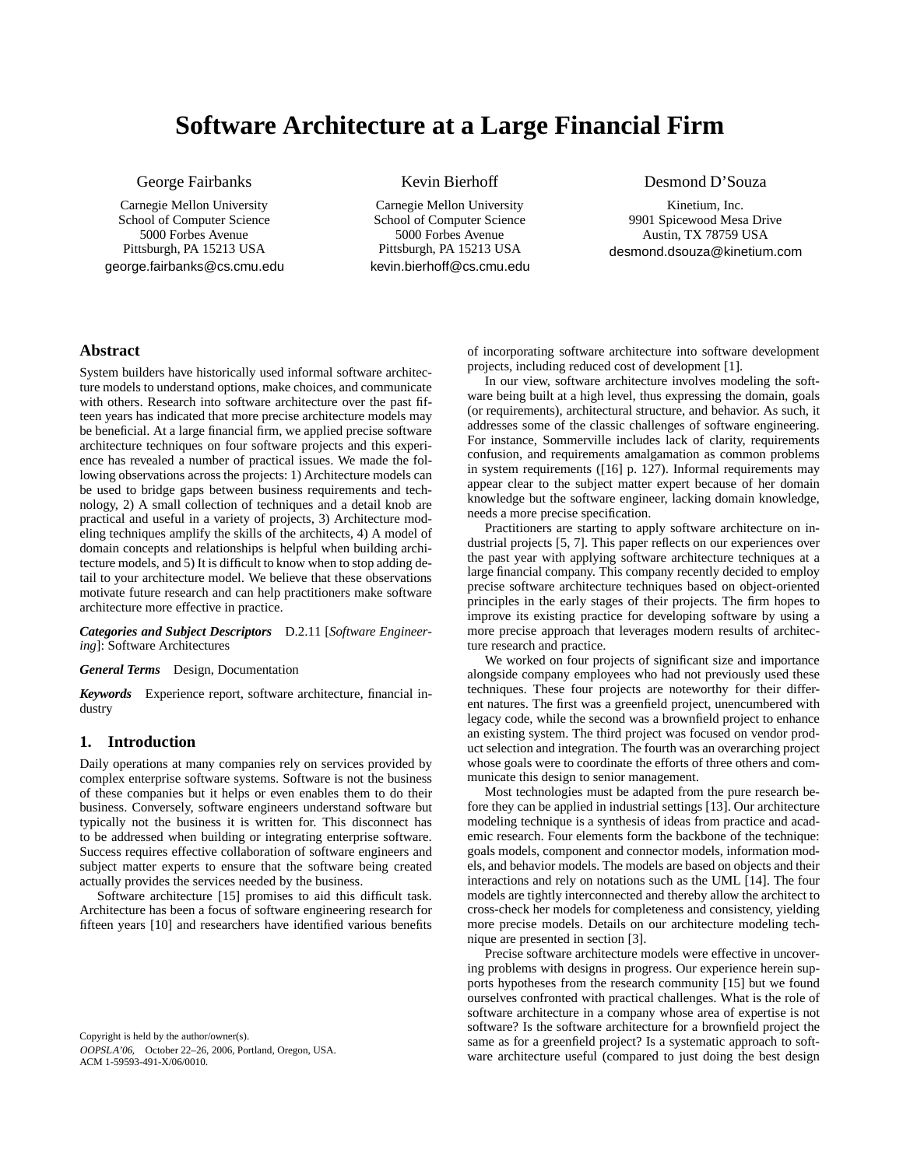# **Software Architecture at a Large Financial Firm**

George Fairbanks

Carnegie Mellon University School of Computer Science 5000 Forbes Avenue Pittsburgh, PA 15213 USA george.fairbanks@cs.cmu.edu Kevin Bierhoff

Carnegie Mellon University School of Computer Science 5000 Forbes Avenue Pittsburgh, PA 15213 USA kevin.bierhoff@cs.cmu.edu Desmond D'Souza

Kinetium, Inc. 9901 Spicewood Mesa Drive Austin, TX 78759 USA desmond.dsouza@kinetium.com

# **Abstract**

System builders have historically used informal software architecture models to understand options, make choices, and communicate with others. Research into software architecture over the past fifteen years has indicated that more precise architecture models may be beneficial. At a large financial firm, we applied precise software architecture techniques on four software projects and this experience has revealed a number of practical issues. We made the following observations across the projects: 1) Architecture models can be used to bridge gaps between business requirements and technology, 2) A small collection of techniques and a detail knob are practical and useful in a variety of projects, 3) Architecture modeling techniques amplify the skills of the architects, 4) A model of domain concepts and relationships is helpful when building architecture models, and 5) It is difficult to know when to stop adding detail to your architecture model. We believe that these observations motivate future research and can help practitioners make software architecture more effective in practice.

*Categories and Subject Descriptors* D.2.11 [*Software Engineering*]: Software Architectures

*General Terms* Design, Documentation

*Keywords* Experience report, software architecture, financial industry

## **1. Introduction**

Daily operations at many companies rely on services provided by complex enterprise software systems. Software is not the business of these companies but it helps or even enables them to do their business. Conversely, software engineers understand software but typically not the business it is written for. This disconnect has to be addressed when building or integrating enterprise software. Success requires effective collaboration of software engineers and subject matter experts to ensure that the software being created actually provides the services needed by the business.

Software architecture [15] promises to aid this difficult task. Architecture has been a focus of software engineering research for fifteen years [10] and researchers have identified various benefits of incorporating software architecture into software development projects, including reduced cost of development [1].

In our view, software architecture involves modeling the software being built at a high level, thus expressing the domain, goals (or requirements), architectural structure, and behavior. As such, it addresses some of the classic challenges of software engineering. For instance, Sommerville includes lack of clarity, requirements confusion, and requirements amalgamation as common problems in system requirements ([16] p. 127). Informal requirements may appear clear to the subject matter expert because of her domain knowledge but the software engineer, lacking domain knowledge, needs a more precise specification.

Practitioners are starting to apply software architecture on industrial projects [5, 7]. This paper reflects on our experiences over the past year with applying software architecture techniques at a large financial company. This company recently decided to employ precise software architecture techniques based on object-oriented principles in the early stages of their projects. The firm hopes to improve its existing practice for developing software by using a more precise approach that leverages modern results of architecture research and practice.

We worked on four projects of significant size and importance alongside company employees who had not previously used these techniques. These four projects are noteworthy for their different natures. The first was a greenfield project, unencumbered with legacy code, while the second was a brownfield project to enhance an existing system. The third project was focused on vendor product selection and integration. The fourth was an overarching project whose goals were to coordinate the efforts of three others and communicate this design to senior management.

Most technologies must be adapted from the pure research before they can be applied in industrial settings [13]. Our architecture modeling technique is a synthesis of ideas from practice and academic research. Four elements form the backbone of the technique: goals models, component and connector models, information models, and behavior models. The models are based on objects and their interactions and rely on notations such as the UML [14]. The four models are tightly interconnected and thereby allow the architect to cross-check her models for completeness and consistency, yielding more precise models. Details on our architecture modeling technique are presented in section [3].

Precise software architecture models were effective in uncovering problems with designs in progress. Our experience herein supports hypotheses from the research community [15] but we found ourselves confronted with practical challenges. What is the role of software architecture in a company whose area of expertise is not software? Is the software architecture for a brownfield project the same as for a greenfield project? Is a systematic approach to software architecture useful (compared to just doing the best design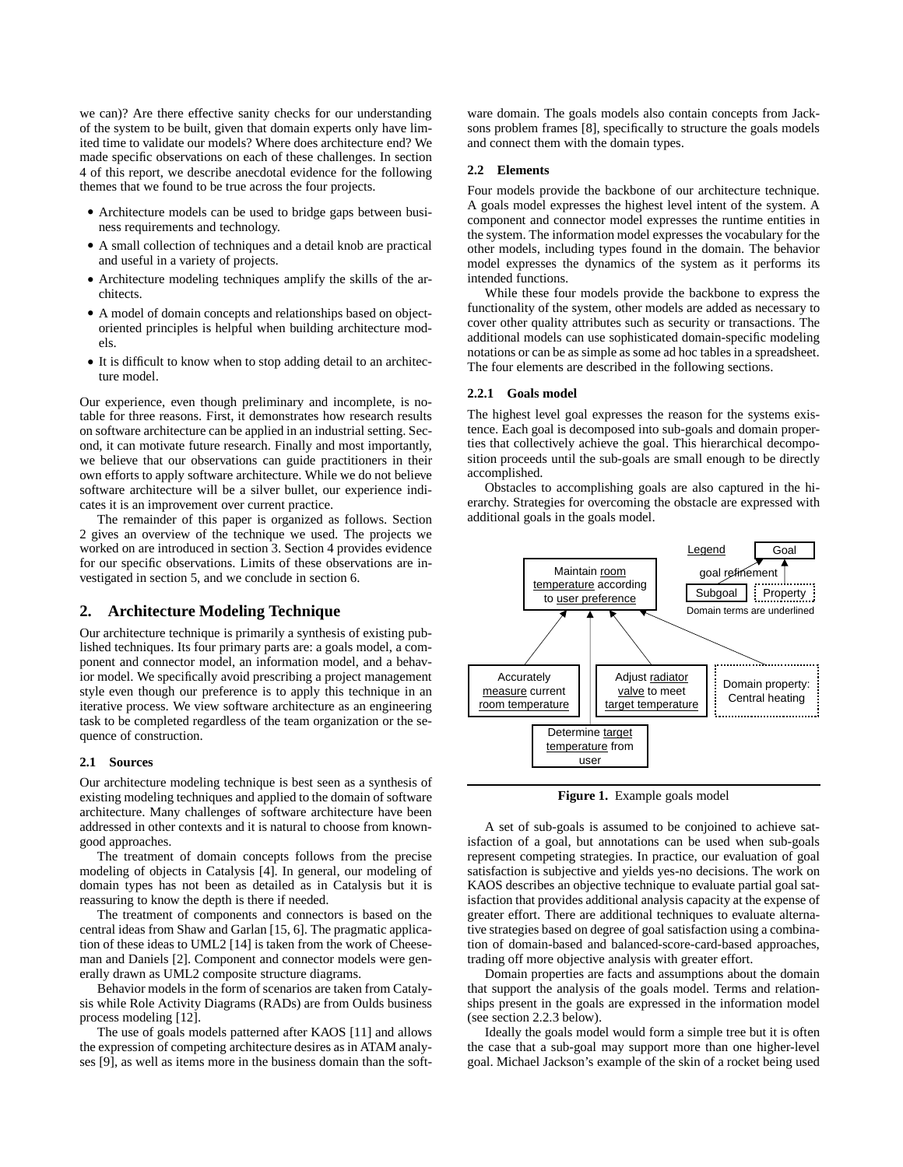we can)? Are there effective sanity checks for our understanding of the system to be built, given that domain experts only have limited time to validate our models? Where does architecture end? We made specific observations on each of these challenges. In section 4 of this report, we describe anecdotal evidence for the following themes that we found to be true across the four projects.

- Architecture models can be used to bridge gaps between business requirements and technology.
- A small collection of techniques and a detail knob are practical and useful in a variety of projects.
- Architecture modeling techniques amplify the skills of the architects.
- A model of domain concepts and relationships based on objectoriented principles is helpful when building architecture models.
- It is difficult to know when to stop adding detail to an architecture model.

Our experience, even though preliminary and incomplete, is notable for three reasons. First, it demonstrates how research results on software architecture can be applied in an industrial setting. Second, it can motivate future research. Finally and most importantly, we believe that our observations can guide practitioners in their own efforts to apply software architecture. While we do not believe software architecture will be a silver bullet, our experience indicates it is an improvement over current practice.

The remainder of this paper is organized as follows. Section 2 gives an overview of the technique we used. The projects we worked on are introduced in section 3. Section 4 provides evidence for our specific observations. Limits of these observations are investigated in section 5, and we conclude in section 6.

## **2. Architecture Modeling Technique**

Our architecture technique is primarily a synthesis of existing published techniques. Its four primary parts are: a goals model, a component and connector model, an information model, and a behavior model. We specifically avoid prescribing a project management style even though our preference is to apply this technique in an iterative process. We view software architecture as an engineering task to be completed regardless of the team organization or the sequence of construction.

#### **2.1 Sources**

Our architecture modeling technique is best seen as a synthesis of existing modeling techniques and applied to the domain of software architecture. Many challenges of software architecture have been addressed in other contexts and it is natural to choose from knowngood approaches.

The treatment of domain concepts follows from the precise modeling of objects in Catalysis [4]. In general, our modeling of domain types has not been as detailed as in Catalysis but it is reassuring to know the depth is there if needed.

The treatment of components and connectors is based on the central ideas from Shaw and Garlan [15, 6]. The pragmatic application of these ideas to UML2 [14] is taken from the work of Cheeseman and Daniels [2]. Component and connector models were generally drawn as UML2 composite structure diagrams.

Behavior models in the form of scenarios are taken from Catalysis while Role Activity Diagrams (RADs) are from Oulds business process modeling [12].

The use of goals models patterned after KAOS [11] and allows the expression of competing architecture desires as in ATAM analyses [9], as well as items more in the business domain than the soft-

ware domain. The goals models also contain concepts from Jacksons problem frames [8], specifically to structure the goals models and connect them with the domain types.

## **2.2 Elements**

Four models provide the backbone of our architecture technique. A goals model expresses the highest level intent of the system. A component and connector model expresses the runtime entities in the system. The information model expresses the vocabulary for the other models, including types found in the domain. The behavior model expresses the dynamics of the system as it performs its intended functions.

While these four models provide the backbone to express the functionality of the system, other models are added as necessary to cover other quality attributes such as security or transactions. The additional models can use sophisticated domain-specific modeling notations or can be as simple as some ad hoc tables in a spreadsheet. The four elements are described in the following sections.

#### **2.2.1 Goals model**

The highest level goal expresses the reason for the systems existence. Each goal is decomposed into sub-goals and domain properties that collectively achieve the goal. This hierarchical decomposition proceeds until the sub-goals are small enough to be directly accomplished.

Obstacles to accomplishing goals are also captured in the hierarchy. Strategies for overcoming the obstacle are expressed with additional goals in the goals model.



**Figure 1.** Example goals model

A set of sub-goals is assumed to be conjoined to achieve satisfaction of a goal, but annotations can be used when sub-goals represent competing strategies. In practice, our evaluation of goal satisfaction is subjective and yields yes-no decisions. The work on KAOS describes an objective technique to evaluate partial goal satisfaction that provides additional analysis capacity at the expense of greater effort. There are additional techniques to evaluate alternative strategies based on degree of goal satisfaction using a combination of domain-based and balanced-score-card-based approaches, trading off more objective analysis with greater effort.

Domain properties are facts and assumptions about the domain that support the analysis of the goals model. Terms and relationships present in the goals are expressed in the information model (see section 2.2.3 below).

Ideally the goals model would form a simple tree but it is often the case that a sub-goal may support more than one higher-level goal. Michael Jackson's example of the skin of a rocket being used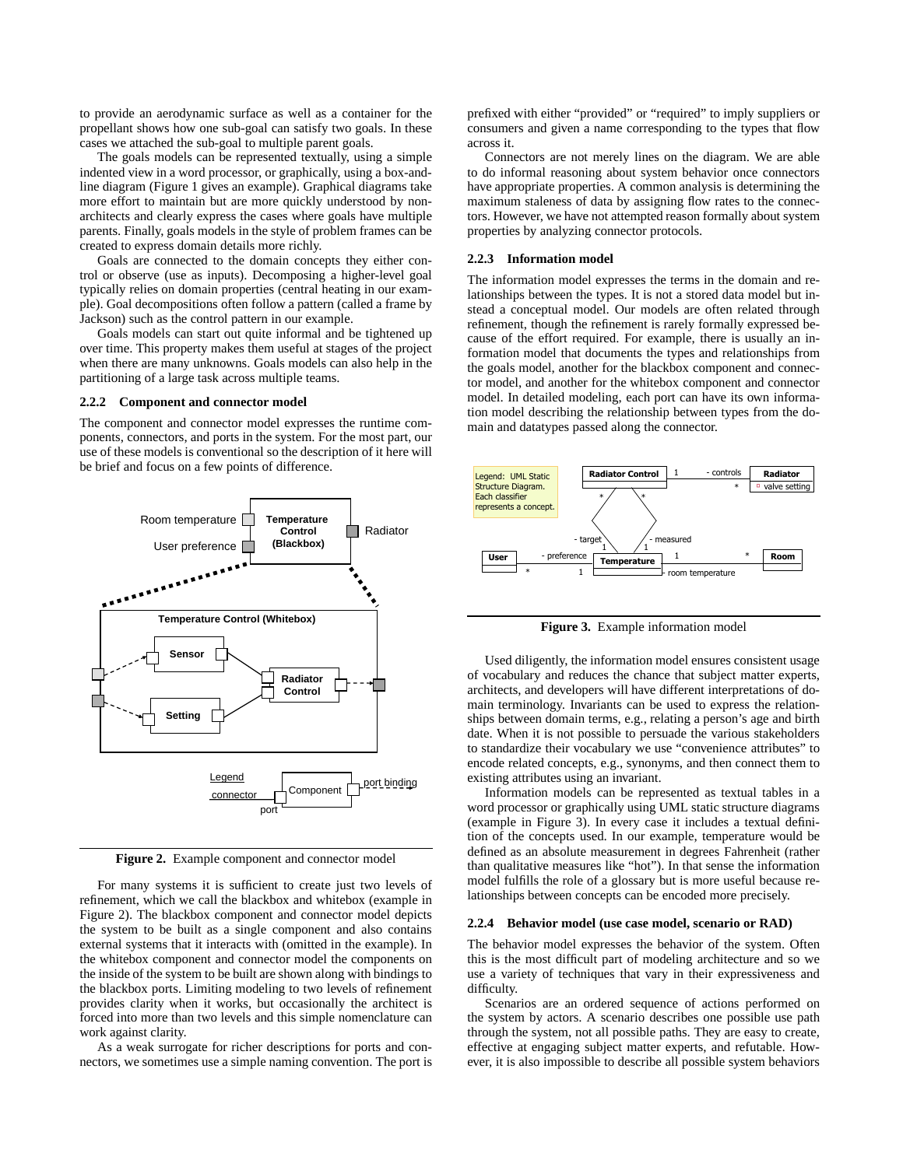to provide an aerodynamic surface as well as a container for the propellant shows how one sub-goal can satisfy two goals. In these cases we attached the sub-goal to multiple parent goals.

The goals models can be represented textually, using a simple indented view in a word processor, or graphically, using a box-andline diagram (Figure 1 gives an example). Graphical diagrams take more effort to maintain but are more quickly understood by nonarchitects and clearly express the cases where goals have multiple parents. Finally, goals models in the style of problem frames can be created to express domain details more richly.

Goals are connected to the domain concepts they either control or observe (use as inputs). Decomposing a higher-level goal typically relies on domain properties (central heating in our example). Goal decompositions often follow a pattern (called a frame by Jackson) such as the control pattern in our example.

Goals models can start out quite informal and be tightened up over time. This property makes them useful at stages of the project when there are many unknowns. Goals models can also help in the partitioning of a large task across multiple teams.

#### **2.2.2 Component and connector model**

The component and connector model expresses the runtime components, connectors, and ports in the system. For the most part, our use of these models is conventional so the description of it here will be brief and focus on a few points of difference.



**Figure 2.** Example component and connector model

For many systems it is sufficient to create just two levels of refinement, which we call the blackbox and whitebox (example in Figure 2). The blackbox component and connector model depicts the system to be built as a single component and also contains external systems that it interacts with (omitted in the example). In the whitebox component and connector model the components on the inside of the system to be built are shown along with bindings to the blackbox ports. Limiting modeling to two levels of refinement provides clarity when it works, but occasionally the architect is forced into more than two levels and this simple nomenclature can work against clarity.

As a weak surrogate for richer descriptions for ports and connectors, we sometimes use a simple naming convention. The port is prefixed with either "provided" or "required" to imply suppliers or consumers and given a name corresponding to the types that flow across it.

Connectors are not merely lines on the diagram. We are able to do informal reasoning about system behavior once connectors have appropriate properties. A common analysis is determining the maximum staleness of data by assigning flow rates to the connectors. However, we have not attempted reason formally about system properties by analyzing connector protocols.

#### **2.2.3 Information model**

The information model expresses the terms in the domain and relationships between the types. It is not a stored data model but instead a conceptual model. Our models are often related through refinement, though the refinement is rarely formally expressed because of the effort required. For example, there is usually an information model that documents the types and relationships from the goals model, another for the blackbox component and connector model, and another for the whitebox component and connector model. In detailed modeling, each port can have its own information model describing the relationship between types from the domain and datatypes passed along the connector.



**Figure 3.** Example information model

Used diligently, the information model ensures consistent usage of vocabulary and reduces the chance that subject matter experts, architects, and developers will have different interpretations of domain terminology. Invariants can be used to express the relationships between domain terms, e.g., relating a person's age and birth date. When it is not possible to persuade the various stakeholders to standardize their vocabulary we use "convenience attributes" to encode related concepts, e.g., synonyms, and then connect them to existing attributes using an invariant.

Information models can be represented as textual tables in a word processor or graphically using UML static structure diagrams (example in Figure 3). In every case it includes a textual definition of the concepts used. In our example, temperature would be defined as an absolute measurement in degrees Fahrenheit (rather than qualitative measures like "hot"). In that sense the information model fulfills the role of a glossary but is more useful because relationships between concepts can be encoded more precisely.

#### **2.2.4 Behavior model (use case model, scenario or RAD)**

The behavior model expresses the behavior of the system. Often this is the most difficult part of modeling architecture and so we use a variety of techniques that vary in their expressiveness and difficulty.

Scenarios are an ordered sequence of actions performed on the system by actors. A scenario describes one possible use path through the system, not all possible paths. They are easy to create, effective at engaging subject matter experts, and refutable. However, it is also impossible to describe all possible system behaviors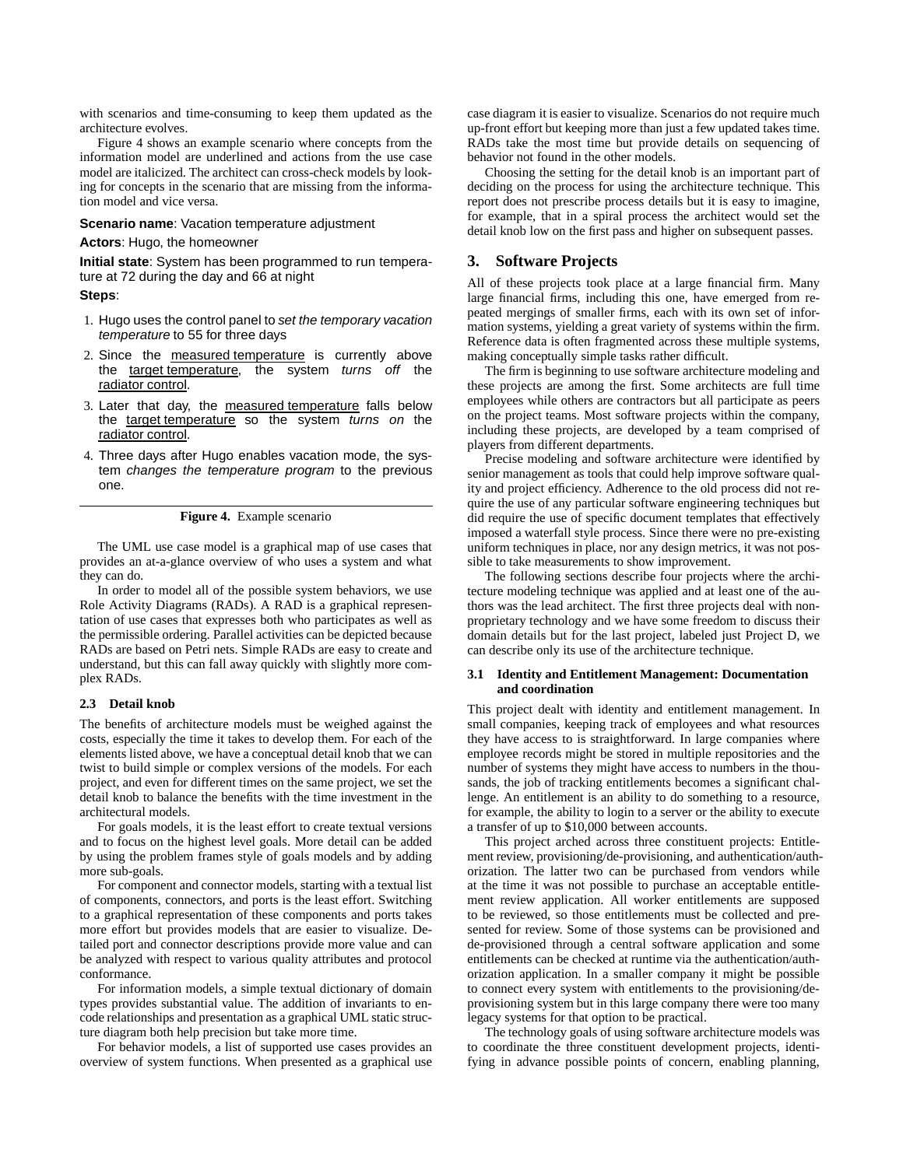with scenarios and time-consuming to keep them updated as the architecture evolves.

Figure 4 shows an example scenario where concepts from the information model are underlined and actions from the use case model are italicized. The architect can cross-check models by looking for concepts in the scenario that are missing from the information model and vice versa.

**Scenario name**: Vacation temperature adjustment

#### **Actors**: Hugo, the homeowner

**Initial state**: System has been programmed to run temperature at 72 during the day and 66 at night

## **Steps**:

- 1. Hugo uses the control panel to set the temporary vacation temperature to 55 for three days
- 2. Since the **measured temperature** is currently above the target temperature, the system turns off the radiator control.
- 3. Later that day, the measured temperature falls below the target temperature so the system turns on the radiator control.
- 4. Three days after Hugo enables vacation mode, the system changes the temperature program to the previous one.

#### **Figure 4.** Example scenario

The UML use case model is a graphical map of use cases that provides an at-a-glance overview of who uses a system and what they can do.

In order to model all of the possible system behaviors, we use Role Activity Diagrams (RADs). A RAD is a graphical representation of use cases that expresses both who participates as well as the permissible ordering. Parallel activities can be depicted because RADs are based on Petri nets. Simple RADs are easy to create and understand, but this can fall away quickly with slightly more complex RADs.

#### **2.3 Detail knob**

The benefits of architecture models must be weighed against the costs, especially the time it takes to develop them. For each of the elements listed above, we have a conceptual detail knob that we can twist to build simple or complex versions of the models. For each project, and even for different times on the same project, we set the detail knob to balance the benefits with the time investment in the architectural models.

For goals models, it is the least effort to create textual versions and to focus on the highest level goals. More detail can be added by using the problem frames style of goals models and by adding more sub-goals.

For component and connector models, starting with a textual list of components, connectors, and ports is the least effort. Switching to a graphical representation of these components and ports takes more effort but provides models that are easier to visualize. Detailed port and connector descriptions provide more value and can be analyzed with respect to various quality attributes and protocol conformance.

For information models, a simple textual dictionary of domain types provides substantial value. The addition of invariants to encode relationships and presentation as a graphical UML static structure diagram both help precision but take more time.

For behavior models, a list of supported use cases provides an overview of system functions. When presented as a graphical use case diagram it is easier to visualize. Scenarios do not require much up-front effort but keeping more than just a few updated takes time. RADs take the most time but provide details on sequencing of behavior not found in the other models.

Choosing the setting for the detail knob is an important part of deciding on the process for using the architecture technique. This report does not prescribe process details but it is easy to imagine, for example, that in a spiral process the architect would set the detail knob low on the first pass and higher on subsequent passes.

## **3. Software Projects**

All of these projects took place at a large financial firm. Many large financial firms, including this one, have emerged from repeated mergings of smaller firms, each with its own set of information systems, yielding a great variety of systems within the firm. Reference data is often fragmented across these multiple systems, making conceptually simple tasks rather difficult.

The firm is beginning to use software architecture modeling and these projects are among the first. Some architects are full time employees while others are contractors but all participate as peers on the project teams. Most software projects within the company, including these projects, are developed by a team comprised of players from different departments.

Precise modeling and software architecture were identified by senior management as tools that could help improve software quality and project efficiency. Adherence to the old process did not require the use of any particular software engineering techniques but did require the use of specific document templates that effectively imposed a waterfall style process. Since there were no pre-existing uniform techniques in place, nor any design metrics, it was not possible to take measurements to show improvement.

The following sections describe four projects where the architecture modeling technique was applied and at least one of the authors was the lead architect. The first three projects deal with nonproprietary technology and we have some freedom to discuss their domain details but for the last project, labeled just Project D, we can describe only its use of the architecture technique.

#### **3.1 Identity and Entitlement Management: Documentation and coordination**

This project dealt with identity and entitlement management. In small companies, keeping track of employees and what resources they have access to is straightforward. In large companies where employee records might be stored in multiple repositories and the number of systems they might have access to numbers in the thousands, the job of tracking entitlements becomes a significant challenge. An entitlement is an ability to do something to a resource, for example, the ability to login to a server or the ability to execute a transfer of up to \$10,000 between accounts.

This project arched across three constituent projects: Entitlement review, provisioning/de-provisioning, and authentication/authorization. The latter two can be purchased from vendors while at the time it was not possible to purchase an acceptable entitlement review application. All worker entitlements are supposed to be reviewed, so those entitlements must be collected and presented for review. Some of those systems can be provisioned and de-provisioned through a central software application and some entitlements can be checked at runtime via the authentication/authorization application. In a smaller company it might be possible to connect every system with entitlements to the provisioning/deprovisioning system but in this large company there were too many legacy systems for that option to be practical.

The technology goals of using software architecture models was to coordinate the three constituent development projects, identifying in advance possible points of concern, enabling planning,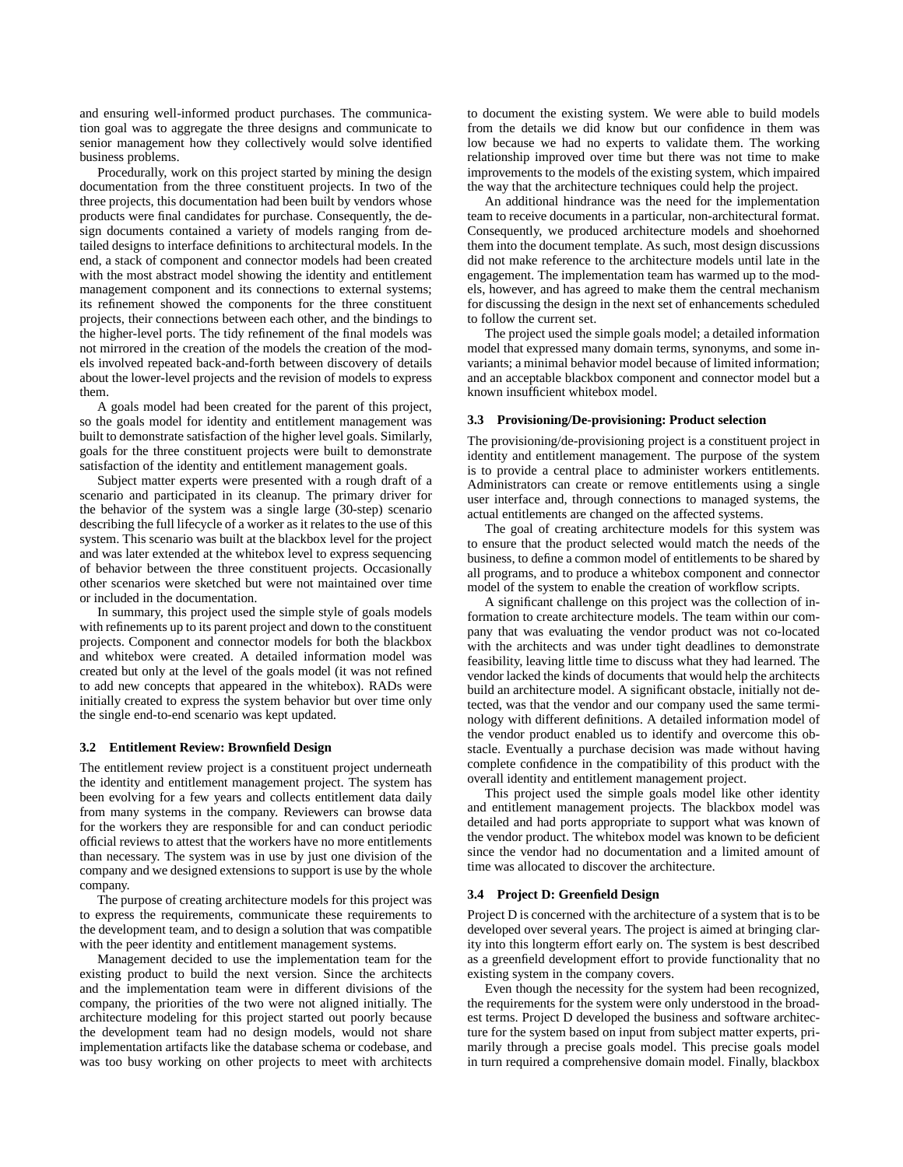and ensuring well-informed product purchases. The communication goal was to aggregate the three designs and communicate to senior management how they collectively would solve identified business problems.

Procedurally, work on this project started by mining the design documentation from the three constituent projects. In two of the three projects, this documentation had been built by vendors whose products were final candidates for purchase. Consequently, the design documents contained a variety of models ranging from detailed designs to interface definitions to architectural models. In the end, a stack of component and connector models had been created with the most abstract model showing the identity and entitlement management component and its connections to external systems; its refinement showed the components for the three constituent projects, their connections between each other, and the bindings to the higher-level ports. The tidy refinement of the final models was not mirrored in the creation of the models the creation of the models involved repeated back-and-forth between discovery of details about the lower-level projects and the revision of models to express them.

A goals model had been created for the parent of this project, so the goals model for identity and entitlement management was built to demonstrate satisfaction of the higher level goals. Similarly, goals for the three constituent projects were built to demonstrate satisfaction of the identity and entitlement management goals.

Subject matter experts were presented with a rough draft of a scenario and participated in its cleanup. The primary driver for the behavior of the system was a single large (30-step) scenario describing the full lifecycle of a worker as it relates to the use of this system. This scenario was built at the blackbox level for the project and was later extended at the whitebox level to express sequencing of behavior between the three constituent projects. Occasionally other scenarios were sketched but were not maintained over time or included in the documentation.

In summary, this project used the simple style of goals models with refinements up to its parent project and down to the constituent projects. Component and connector models for both the blackbox and whitebox were created. A detailed information model was created but only at the level of the goals model (it was not refined to add new concepts that appeared in the whitebox). RADs were initially created to express the system behavior but over time only the single end-to-end scenario was kept updated.

#### **3.2 Entitlement Review: Brownfield Design**

The entitlement review project is a constituent project underneath the identity and entitlement management project. The system has been evolving for a few years and collects entitlement data daily from many systems in the company. Reviewers can browse data for the workers they are responsible for and can conduct periodic official reviews to attest that the workers have no more entitlements than necessary. The system was in use by just one division of the company and we designed extensions to support is use by the whole company.

The purpose of creating architecture models for this project was to express the requirements, communicate these requirements to the development team, and to design a solution that was compatible with the peer identity and entitlement management systems.

Management decided to use the implementation team for the existing product to build the next version. Since the architects and the implementation team were in different divisions of the company, the priorities of the two were not aligned initially. The architecture modeling for this project started out poorly because the development team had no design models, would not share implementation artifacts like the database schema or codebase, and was too busy working on other projects to meet with architects to document the existing system. We were able to build models from the details we did know but our confidence in them was low because we had no experts to validate them. The working relationship improved over time but there was not time to make improvements to the models of the existing system, which impaired the way that the architecture techniques could help the project.

An additional hindrance was the need for the implementation team to receive documents in a particular, non-architectural format. Consequently, we produced architecture models and shoehorned them into the document template. As such, most design discussions did not make reference to the architecture models until late in the engagement. The implementation team has warmed up to the models, however, and has agreed to make them the central mechanism for discussing the design in the next set of enhancements scheduled to follow the current set.

The project used the simple goals model; a detailed information model that expressed many domain terms, synonyms, and some invariants; a minimal behavior model because of limited information; and an acceptable blackbox component and connector model but a known insufficient whitebox model.

#### **3.3 Provisioning/De-provisioning: Product selection**

The provisioning/de-provisioning project is a constituent project in identity and entitlement management. The purpose of the system is to provide a central place to administer workers entitlements. Administrators can create or remove entitlements using a single user interface and, through connections to managed systems, the actual entitlements are changed on the affected systems.

The goal of creating architecture models for this system was to ensure that the product selected would match the needs of the business, to define a common model of entitlements to be shared by all programs, and to produce a whitebox component and connector model of the system to enable the creation of workflow scripts.

A significant challenge on this project was the collection of information to create architecture models. The team within our company that was evaluating the vendor product was not co-located with the architects and was under tight deadlines to demonstrate feasibility, leaving little time to discuss what they had learned. The vendor lacked the kinds of documents that would help the architects build an architecture model. A significant obstacle, initially not detected, was that the vendor and our company used the same terminology with different definitions. A detailed information model of the vendor product enabled us to identify and overcome this obstacle. Eventually a purchase decision was made without having complete confidence in the compatibility of this product with the overall identity and entitlement management project.

This project used the simple goals model like other identity and entitlement management projects. The blackbox model was detailed and had ports appropriate to support what was known of the vendor product. The whitebox model was known to be deficient since the vendor had no documentation and a limited amount of time was allocated to discover the architecture.

#### **3.4 Project D: Greenfield Design**

Project D is concerned with the architecture of a system that is to be developed over several years. The project is aimed at bringing clarity into this longterm effort early on. The system is best described as a greenfield development effort to provide functionality that no existing system in the company covers.

Even though the necessity for the system had been recognized, the requirements for the system were only understood in the broadest terms. Project D developed the business and software architecture for the system based on input from subject matter experts, primarily through a precise goals model. This precise goals model in turn required a comprehensive domain model. Finally, blackbox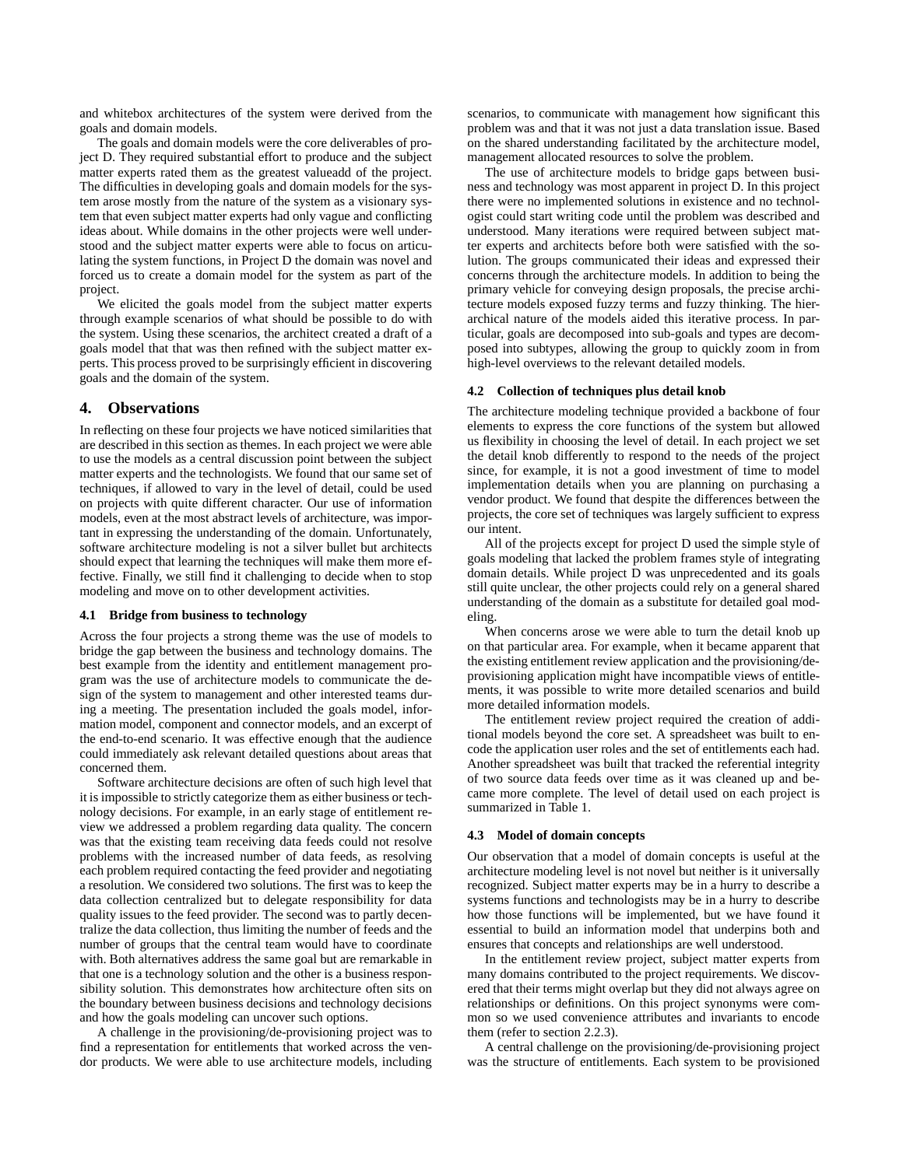and whitebox architectures of the system were derived from the goals and domain models.

The goals and domain models were the core deliverables of project D. They required substantial effort to produce and the subject matter experts rated them as the greatest valueadd of the project. The difficulties in developing goals and domain models for the system arose mostly from the nature of the system as a visionary system that even subject matter experts had only vague and conflicting ideas about. While domains in the other projects were well understood and the subject matter experts were able to focus on articulating the system functions, in Project D the domain was novel and forced us to create a domain model for the system as part of the project.

We elicited the goals model from the subject matter experts through example scenarios of what should be possible to do with the system. Using these scenarios, the architect created a draft of a goals model that that was then refined with the subject matter experts. This process proved to be surprisingly efficient in discovering goals and the domain of the system.

## **4. Observations**

In reflecting on these four projects we have noticed similarities that are described in this section as themes. In each project we were able to use the models as a central discussion point between the subject matter experts and the technologists. We found that our same set of techniques, if allowed to vary in the level of detail, could be used on projects with quite different character. Our use of information models, even at the most abstract levels of architecture, was important in expressing the understanding of the domain. Unfortunately, software architecture modeling is not a silver bullet but architects should expect that learning the techniques will make them more effective. Finally, we still find it challenging to decide when to stop modeling and move on to other development activities.

#### **4.1 Bridge from business to technology**

Across the four projects a strong theme was the use of models to bridge the gap between the business and technology domains. The best example from the identity and entitlement management program was the use of architecture models to communicate the design of the system to management and other interested teams during a meeting. The presentation included the goals model, information model, component and connector models, and an excerpt of the end-to-end scenario. It was effective enough that the audience could immediately ask relevant detailed questions about areas that concerned them.

Software architecture decisions are often of such high level that it is impossible to strictly categorize them as either business or technology decisions. For example, in an early stage of entitlement review we addressed a problem regarding data quality. The concern was that the existing team receiving data feeds could not resolve problems with the increased number of data feeds, as resolving each problem required contacting the feed provider and negotiating a resolution. We considered two solutions. The first was to keep the data collection centralized but to delegate responsibility for data quality issues to the feed provider. The second was to partly decentralize the data collection, thus limiting the number of feeds and the number of groups that the central team would have to coordinate with. Both alternatives address the same goal but are remarkable in that one is a technology solution and the other is a business responsibility solution. This demonstrates how architecture often sits on the boundary between business decisions and technology decisions and how the goals modeling can uncover such options.

A challenge in the provisioning/de-provisioning project was to find a representation for entitlements that worked across the vendor products. We were able to use architecture models, including scenarios, to communicate with management how significant this problem was and that it was not just a data translation issue. Based on the shared understanding facilitated by the architecture model, management allocated resources to solve the problem.

The use of architecture models to bridge gaps between business and technology was most apparent in project D. In this project there were no implemented solutions in existence and no technologist could start writing code until the problem was described and understood. Many iterations were required between subject matter experts and architects before both were satisfied with the solution. The groups communicated their ideas and expressed their concerns through the architecture models. In addition to being the primary vehicle for conveying design proposals, the precise architecture models exposed fuzzy terms and fuzzy thinking. The hierarchical nature of the models aided this iterative process. In particular, goals are decomposed into sub-goals and types are decomposed into subtypes, allowing the group to quickly zoom in from high-level overviews to the relevant detailed models.

#### **4.2 Collection of techniques plus detail knob**

The architecture modeling technique provided a backbone of four elements to express the core functions of the system but allowed us flexibility in choosing the level of detail. In each project we set the detail knob differently to respond to the needs of the project since, for example, it is not a good investment of time to model implementation details when you are planning on purchasing a vendor product. We found that despite the differences between the projects, the core set of techniques was largely sufficient to express our intent.

All of the projects except for project D used the simple style of goals modeling that lacked the problem frames style of integrating domain details. While project D was unprecedented and its goals still quite unclear, the other projects could rely on a general shared understanding of the domain as a substitute for detailed goal modeling.

When concerns arose we were able to turn the detail knob up on that particular area. For example, when it became apparent that the existing entitlement review application and the provisioning/deprovisioning application might have incompatible views of entitlements, it was possible to write more detailed scenarios and build more detailed information models.

The entitlement review project required the creation of additional models beyond the core set. A spreadsheet was built to encode the application user roles and the set of entitlements each had. Another spreadsheet was built that tracked the referential integrity of two source data feeds over time as it was cleaned up and became more complete. The level of detail used on each project is summarized in Table 1.

#### **4.3 Model of domain concepts**

Our observation that a model of domain concepts is useful at the architecture modeling level is not novel but neither is it universally recognized. Subject matter experts may be in a hurry to describe a systems functions and technologists may be in a hurry to describe how those functions will be implemented, but we have found it essential to build an information model that underpins both and ensures that concepts and relationships are well understood.

In the entitlement review project, subject matter experts from many domains contributed to the project requirements. We discovered that their terms might overlap but they did not always agree on relationships or definitions. On this project synonyms were common so we used convenience attributes and invariants to encode them (refer to section 2.2.3).

A central challenge on the provisioning/de-provisioning project was the structure of entitlements. Each system to be provisioned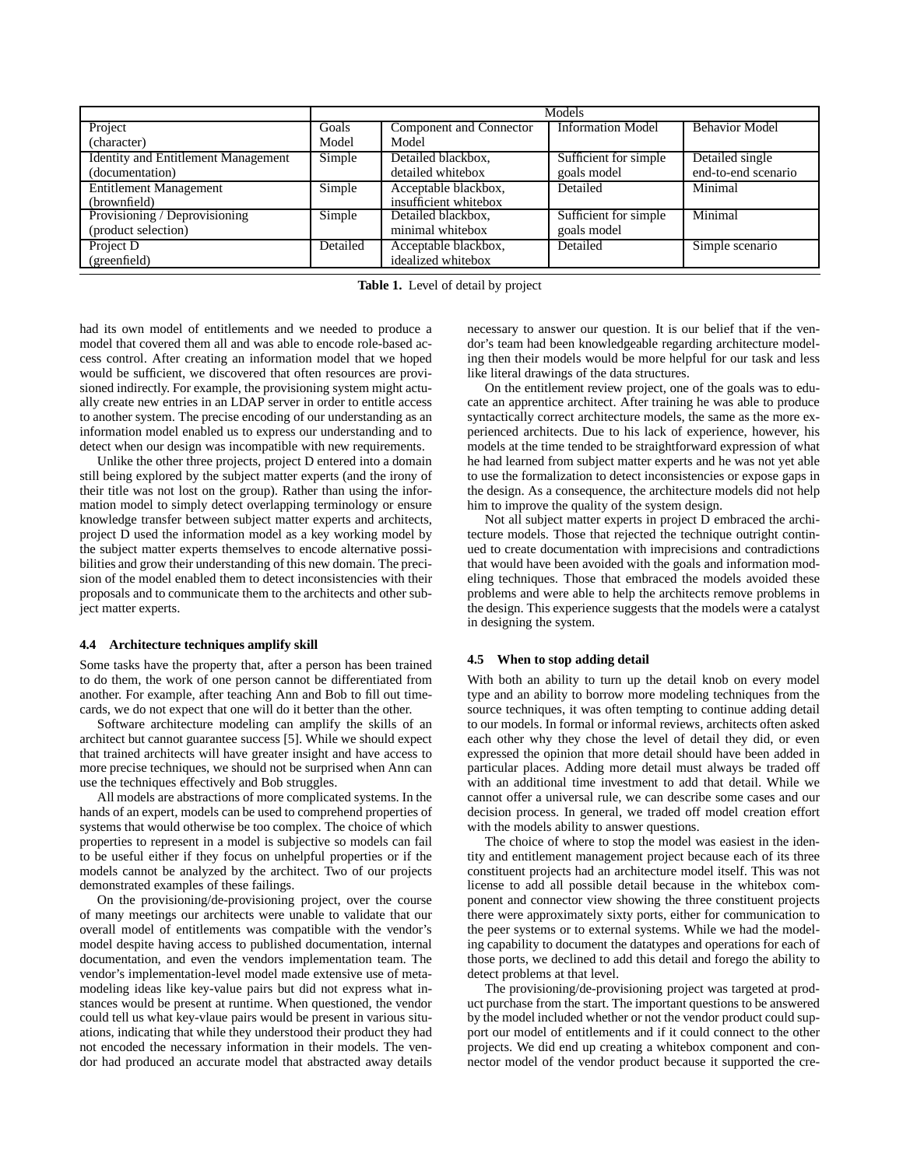|                                            | Models   |                         |                          |                       |
|--------------------------------------------|----------|-------------------------|--------------------------|-----------------------|
| Project                                    | Goals    | Component and Connector | <b>Information Model</b> | <b>Behavior Model</b> |
| (character)                                | Model    | Model                   |                          |                       |
| <b>Identity and Entitlement Management</b> | Simple   | Detailed blackbox,      | Sufficient for simple    | Detailed single       |
| (documentation)                            |          | detailed whitebox       | goals model              | end-to-end scenario   |
| <b>Entitlement Management</b>              | Simple   | Acceptable blackbox,    | Detailed                 | Minimal               |
| (brownfield)                               |          | insufficient whitebox   |                          |                       |
| Provisioning / Deprovisioning              | Simple   | Detailed blackbox,      | Sufficient for simple    | Minimal               |
| (product selection)                        |          | minimal whitebox        | goals model              |                       |
| Project D                                  | Detailed | Acceptable blackbox,    | Detailed                 | Simple scenario       |
| (greenfield)                               |          | idealized whitebox      |                          |                       |
|                                            |          |                         |                          |                       |

**Table 1.** Level of detail by project

had its own model of entitlements and we needed to produce a model that covered them all and was able to encode role-based access control. After creating an information model that we hoped would be sufficient, we discovered that often resources are provisioned indirectly. For example, the provisioning system might actually create new entries in an LDAP server in order to entitle access to another system. The precise encoding of our understanding as an information model enabled us to express our understanding and to detect when our design was incompatible with new requirements.

Unlike the other three projects, project D entered into a domain still being explored by the subject matter experts (and the irony of their title was not lost on the group). Rather than using the information model to simply detect overlapping terminology or ensure knowledge transfer between subject matter experts and architects, project D used the information model as a key working model by the subject matter experts themselves to encode alternative possibilities and grow their understanding of this new domain. The precision of the model enabled them to detect inconsistencies with their proposals and to communicate them to the architects and other subject matter experts.

## **4.4 Architecture techniques amplify skill**

Some tasks have the property that, after a person has been trained to do them, the work of one person cannot be differentiated from another. For example, after teaching Ann and Bob to fill out timecards, we do not expect that one will do it better than the other.

Software architecture modeling can amplify the skills of an architect but cannot guarantee success [5]. While we should expect that trained architects will have greater insight and have access to more precise techniques, we should not be surprised when Ann can use the techniques effectively and Bob struggles.

All models are abstractions of more complicated systems. In the hands of an expert, models can be used to comprehend properties of systems that would otherwise be too complex. The choice of which properties to represent in a model is subjective so models can fail to be useful either if they focus on unhelpful properties or if the models cannot be analyzed by the architect. Two of our projects demonstrated examples of these failings.

On the provisioning/de-provisioning project, over the course of many meetings our architects were unable to validate that our overall model of entitlements was compatible with the vendor's model despite having access to published documentation, internal documentation, and even the vendors implementation team. The vendor's implementation-level model made extensive use of metamodeling ideas like key-value pairs but did not express what instances would be present at runtime. When questioned, the vendor could tell us what key-vlaue pairs would be present in various situations, indicating that while they understood their product they had not encoded the necessary information in their models. The vendor had produced an accurate model that abstracted away details necessary to answer our question. It is our belief that if the vendor's team had been knowledgeable regarding architecture modeling then their models would be more helpful for our task and less like literal drawings of the data structures.

On the entitlement review project, one of the goals was to educate an apprentice architect. After training he was able to produce syntactically correct architecture models, the same as the more experienced architects. Due to his lack of experience, however, his models at the time tended to be straightforward expression of what he had learned from subject matter experts and he was not yet able to use the formalization to detect inconsistencies or expose gaps in the design. As a consequence, the architecture models did not help him to improve the quality of the system design.

Not all subject matter experts in project D embraced the architecture models. Those that rejected the technique outright continued to create documentation with imprecisions and contradictions that would have been avoided with the goals and information modeling techniques. Those that embraced the models avoided these problems and were able to help the architects remove problems in the design. This experience suggests that the models were a catalyst in designing the system.

#### **4.5 When to stop adding detail**

With both an ability to turn up the detail knob on every model type and an ability to borrow more modeling techniques from the source techniques, it was often tempting to continue adding detail to our models. In formal or informal reviews, architects often asked each other why they chose the level of detail they did, or even expressed the opinion that more detail should have been added in particular places. Adding more detail must always be traded off with an additional time investment to add that detail. While we cannot offer a universal rule, we can describe some cases and our decision process. In general, we traded off model creation effort with the models ability to answer questions.

The choice of where to stop the model was easiest in the identity and entitlement management project because each of its three constituent projects had an architecture model itself. This was not license to add all possible detail because in the whitebox component and connector view showing the three constituent projects there were approximately sixty ports, either for communication to the peer systems or to external systems. While we had the modeling capability to document the datatypes and operations for each of those ports, we declined to add this detail and forego the ability to detect problems at that level.

The provisioning/de-provisioning project was targeted at product purchase from the start. The important questions to be answered by the model included whether or not the vendor product could support our model of entitlements and if it could connect to the other projects. We did end up creating a whitebox component and connector model of the vendor product because it supported the cre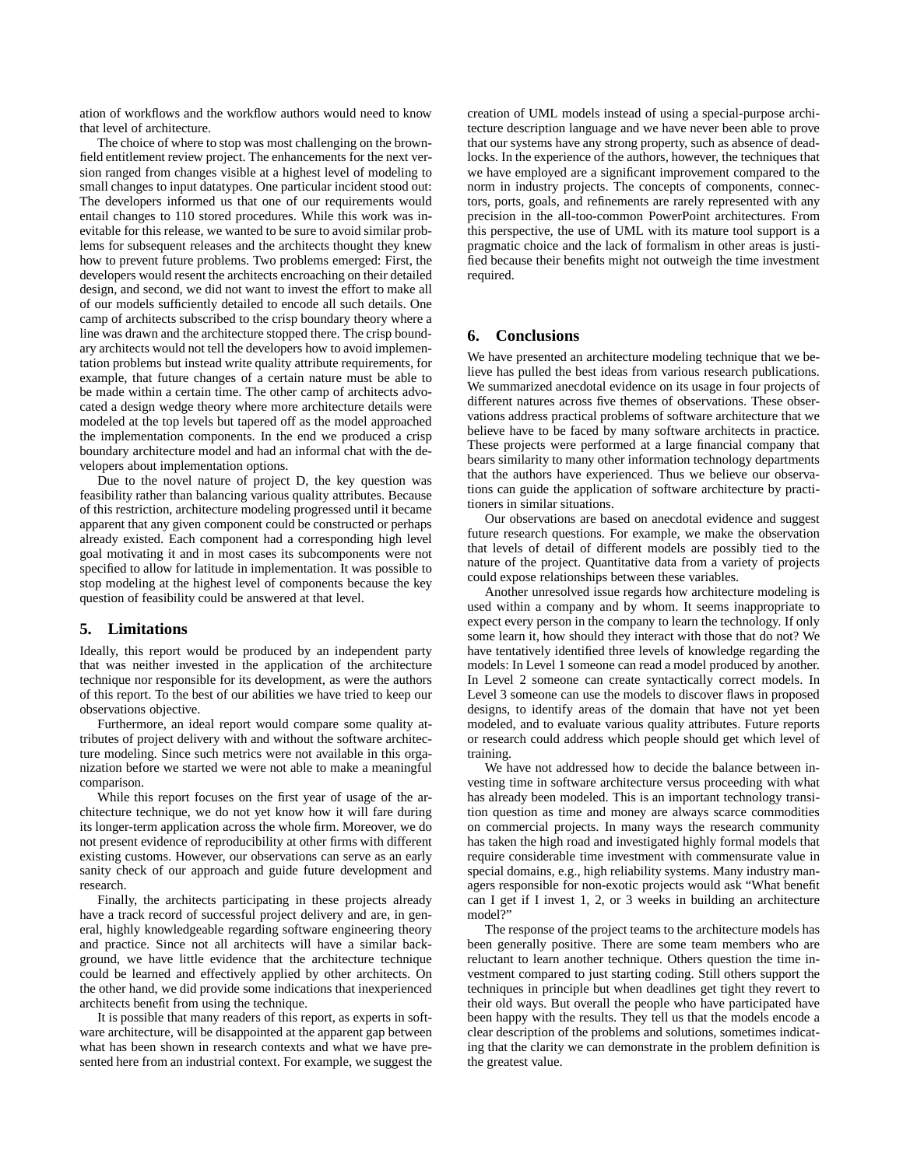ation of workflows and the workflow authors would need to know that level of architecture.

The choice of where to stop was most challenging on the brownfield entitlement review project. The enhancements for the next version ranged from changes visible at a highest level of modeling to small changes to input datatypes. One particular incident stood out: The developers informed us that one of our requirements would entail changes to 110 stored procedures. While this work was inevitable for this release, we wanted to be sure to avoid similar problems for subsequent releases and the architects thought they knew how to prevent future problems. Two problems emerged: First, the developers would resent the architects encroaching on their detailed design, and second, we did not want to invest the effort to make all of our models sufficiently detailed to encode all such details. One camp of architects subscribed to the crisp boundary theory where a line was drawn and the architecture stopped there. The crisp boundary architects would not tell the developers how to avoid implementation problems but instead write quality attribute requirements, for example, that future changes of a certain nature must be able to be made within a certain time. The other camp of architects advocated a design wedge theory where more architecture details were modeled at the top levels but tapered off as the model approached the implementation components. In the end we produced a crisp boundary architecture model and had an informal chat with the developers about implementation options.

Due to the novel nature of project D, the key question was feasibility rather than balancing various quality attributes. Because of this restriction, architecture modeling progressed until it became apparent that any given component could be constructed or perhaps already existed. Each component had a corresponding high level goal motivating it and in most cases its subcomponents were not specified to allow for latitude in implementation. It was possible to stop modeling at the highest level of components because the key question of feasibility could be answered at that level.

## **5. Limitations**

Ideally, this report would be produced by an independent party that was neither invested in the application of the architecture technique nor responsible for its development, as were the authors of this report. To the best of our abilities we have tried to keep our observations objective.

Furthermore, an ideal report would compare some quality attributes of project delivery with and without the software architecture modeling. Since such metrics were not available in this organization before we started we were not able to make a meaningful comparison.

While this report focuses on the first year of usage of the architecture technique, we do not yet know how it will fare during its longer-term application across the whole firm. Moreover, we do not present evidence of reproducibility at other firms with different existing customs. However, our observations can serve as an early sanity check of our approach and guide future development and research.

Finally, the architects participating in these projects already have a track record of successful project delivery and are, in general, highly knowledgeable regarding software engineering theory and practice. Since not all architects will have a similar background, we have little evidence that the architecture technique could be learned and effectively applied by other architects. On the other hand, we did provide some indications that inexperienced architects benefit from using the technique.

It is possible that many readers of this report, as experts in software architecture, will be disappointed at the apparent gap between what has been shown in research contexts and what we have presented here from an industrial context. For example, we suggest the creation of UML models instead of using a special-purpose architecture description language and we have never been able to prove that our systems have any strong property, such as absence of deadlocks. In the experience of the authors, however, the techniques that we have employed are a significant improvement compared to the norm in industry projects. The concepts of components, connectors, ports, goals, and refinements are rarely represented with any precision in the all-too-common PowerPoint architectures. From this perspective, the use of UML with its mature tool support is a pragmatic choice and the lack of formalism in other areas is justified because their benefits might not outweigh the time investment required.

## **6. Conclusions**

We have presented an architecture modeling technique that we believe has pulled the best ideas from various research publications. We summarized anecdotal evidence on its usage in four projects of different natures across five themes of observations. These observations address practical problems of software architecture that we believe have to be faced by many software architects in practice. These projects were performed at a large financial company that bears similarity to many other information technology departments that the authors have experienced. Thus we believe our observations can guide the application of software architecture by practitioners in similar situations.

Our observations are based on anecdotal evidence and suggest future research questions. For example, we make the observation that levels of detail of different models are possibly tied to the nature of the project. Quantitative data from a variety of projects could expose relationships between these variables.

Another unresolved issue regards how architecture modeling is used within a company and by whom. It seems inappropriate to expect every person in the company to learn the technology. If only some learn it, how should they interact with those that do not? We have tentatively identified three levels of knowledge regarding the models: In Level 1 someone can read a model produced by another. In Level 2 someone can create syntactically correct models. In Level 3 someone can use the models to discover flaws in proposed designs, to identify areas of the domain that have not yet been modeled, and to evaluate various quality attributes. Future reports or research could address which people should get which level of training.

We have not addressed how to decide the balance between investing time in software architecture versus proceeding with what has already been modeled. This is an important technology transition question as time and money are always scarce commodities on commercial projects. In many ways the research community has taken the high road and investigated highly formal models that require considerable time investment with commensurate value in special domains, e.g., high reliability systems. Many industry managers responsible for non-exotic projects would ask "What benefit can I get if I invest 1, 2, or 3 weeks in building an architecture model?"

The response of the project teams to the architecture models has been generally positive. There are some team members who are reluctant to learn another technique. Others question the time investment compared to just starting coding. Still others support the techniques in principle but when deadlines get tight they revert to their old ways. But overall the people who have participated have been happy with the results. They tell us that the models encode a clear description of the problems and solutions, sometimes indicating that the clarity we can demonstrate in the problem definition is the greatest value.